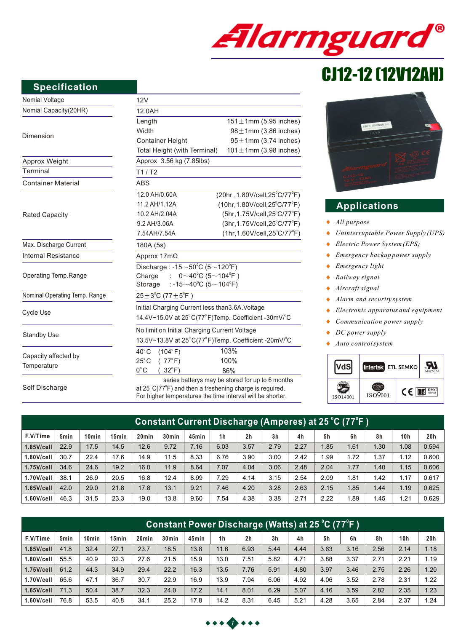

# CJ12-12 (12V12AH)

# **Specification**

| Nomial Voltage                | 12V                                                                                                                                |                                               |  |  |  |  |  |  |
|-------------------------------|------------------------------------------------------------------------------------------------------------------------------------|-----------------------------------------------|--|--|--|--|--|--|
| Nomial Capacity(20HR)         | 12.0AH                                                                                                                             |                                               |  |  |  |  |  |  |
|                               | Length                                                                                                                             | $151 \pm 1$ mm (5.95 inches)                  |  |  |  |  |  |  |
| Dimension                     | Width                                                                                                                              | $98 \pm 1$ mm (3.86 inches)                   |  |  |  |  |  |  |
|                               | <b>Container Height</b>                                                                                                            | $95 \pm 1$ mm (3.74 inches)                   |  |  |  |  |  |  |
|                               | $101 \pm 1$ mm (3.98 inches)<br>Total Height (with Terminal)                                                                       |                                               |  |  |  |  |  |  |
| Approx Weight                 | Approx 3.56 kg (7.85lbs)                                                                                                           |                                               |  |  |  |  |  |  |
| Terminal                      | T1/ T2                                                                                                                             |                                               |  |  |  |  |  |  |
| <b>Container Material</b>     | <b>ABS</b>                                                                                                                         |                                               |  |  |  |  |  |  |
|                               | 12.0 AH/0.60A                                                                                                                      | $(20hr, 1.80V/cell, 25^{\circ}C/77^{\circ}F)$ |  |  |  |  |  |  |
|                               | 11.2 AH/1.12A                                                                                                                      | $(10hr, 1.80V/cell, 25^{\circ}C/77^{\circ}F)$ |  |  |  |  |  |  |
| <b>Rated Capacity</b>         | 10.2 AH/2.04A                                                                                                                      | (5hr, 1.75V/cell, 25°C/77°F)                  |  |  |  |  |  |  |
|                               | 9.2 AH/3.06A                                                                                                                       | (3hr, 1.75V/cell, 25°C/77°F)                  |  |  |  |  |  |  |
|                               | 7.54AH/7.54A                                                                                                                       | $(1hr, 1.60V/cell, 25^{\circ}C/77^{\circ}F)$  |  |  |  |  |  |  |
| Max. Discharge Current        | 180A (5s)                                                                                                                          |                                               |  |  |  |  |  |  |
| <b>Internal Resistance</b>    | Approx 17mΩ                                                                                                                        |                                               |  |  |  |  |  |  |
|                               | Discharge: $-15 \sim 50^{\circ}$ C (5 $\sim$ 120 $^{\circ}$ F)                                                                     |                                               |  |  |  |  |  |  |
| Operating Temp.Range          | $0~10^{0}$ C (5~104 <sup>°</sup> F)<br>Charge<br>$\sim 100$                                                                        |                                               |  |  |  |  |  |  |
|                               | : -15 $\sim$ 40°C (5 $\sim$ 104°F)<br>Storage                                                                                      |                                               |  |  |  |  |  |  |
| Nominal Operating Temp. Range | $25 \pm 3^{\circ}$ C (77 $\pm 5^{\circ}$ F)                                                                                        |                                               |  |  |  |  |  |  |
|                               | Initial Charging Current less than 3.6A. Voltage                                                                                   |                                               |  |  |  |  |  |  |
| Cycle Use                     | 14.4V~15.0V at 25°C(77°F)Temp. Coefficient -30mV/°C                                                                                |                                               |  |  |  |  |  |  |
|                               | No limit on Initial Charging Current Voltage                                                                                       |                                               |  |  |  |  |  |  |
| <b>Standby Use</b>            | 13.5V~13.8V at 25°C(77°F)Temp. Coefficient -20mV/°C                                                                                |                                               |  |  |  |  |  |  |
|                               | $40^{\circ}$ C<br>(104°F)                                                                                                          | 103%                                          |  |  |  |  |  |  |
| Capacity affected by          | (77°F)<br>$25^{\circ}$ C                                                                                                           | 100%                                          |  |  |  |  |  |  |
| Temperature                   | $0^{\circ}$ C<br>$32^{\circ}$ F)                                                                                                   | 86%                                           |  |  |  |  |  |  |
| Self Discharge                | series batterys may be stored for up to 6 months<br>at $25^{\circ}$ C(77 <sup>°</sup> F) and then a freshening charge is required. |                                               |  |  |  |  |  |  |

at  $25^{\circ}$  C(77 $^{\circ}$ F) and then a freshening charge is required. For higher temperatures the time interval will be shorter.



# **Applications**

- *All purpose*
- $\blacklozenge$ *Uninterruptable Power Supply (UPS)*
- *Electric Power System (EPS)*  $\ddot{\bullet}$
- $\blacklozenge$ *Emergency backup power supply*
- *Emergency light*   $\bullet$
- $\ddot{\bullet}$ *Railway signal*
- *Aircraft signal*  $\ddot{\bullet}$
- $\bullet$ *Alarm and security system*
- *Electronic apparatus and equipment*  $\bullet$
- *Communication power supply*  $\bullet$
- $\blacklozenge$ *DC power supply*
- $\blacklozenge$ *Auto control system*



| Constant Current Discharge (Amperes) at 25 °C (77°F ) |                  |                   |                   |                   |                   |       |                |                |                |      |      |      |                  |                 |       |
|-------------------------------------------------------|------------------|-------------------|-------------------|-------------------|-------------------|-------|----------------|----------------|----------------|------|------|------|------------------|-----------------|-------|
| F.V/Time                                              | 5 <sub>min</sub> | 10 <sub>min</sub> | 15 <sub>min</sub> | 20 <sub>min</sub> | 30 <sub>min</sub> | 45min | 1 <sub>h</sub> | 2 <sub>h</sub> | 3 <sub>h</sub> | 4h   | 5h   | 6h   | 8h               | 10 <sub>h</sub> | 20h   |
| $1.85$ V/cell                                         | 22.9             | 17.5              | 14.5              | 12.6              | 9.72              | 7.16  | 6.03           | 3.57           | 2.79           | 2.27 | .85  | 1.61 | .30 <sub>1</sub> | 1.08            | 0.594 |
| $1.80$ V/cell                                         | 30.7             | 22.4              | 17.6              | 14.9              | 11.5              | 8.33  | 6.76           | 3.90           | 3.00           | 2.42 | .99  | 1.72 | .37              | 1.12            | 0.600 |
| $1.75$ V/cell                                         | 34.6             | 24.6              | 19.2              | 16.0              | 11.9              | 8.64  | 7.07           | 4.04           | 3.06           | 2.48 | 2.04 | 1.77 | .40 <sub>1</sub> | 1.15            | 0.606 |
| $1.70$ V/cell                                         | 38.1             | 26.9              | 20.5              | 16.8              | 12.4              | 8.99  | 7.29           | 4.14           | 3.15           | 2.54 | 2.09 | 1.81 | .42              | 1.17            | 0.617 |
| $1.65$ V/cell                                         | 42.0             | 29.0              | 21.8              | 17.8              | 13.1              | 9.21  | 7.46           | 4.20           | 3.28           | 2.63 | 2.15 | 1.85 | 1.44             | 1.19            | 0.625 |
| 1.60V/cell                                            | 46.3             | 31.5              | 23.3              | 19.0              | 13.8              | 9.60  | '.54           | 4.38           | 3.38           | 2.71 | 2.22 | .89  | .45              | 1.21            | 0.629 |

| Constant Power Discharge (Watts) at 25 °C (77°F ) |      |                   |       |                   |                   |       |                |                |                |      |      |      |      |      |      |
|---------------------------------------------------|------|-------------------|-------|-------------------|-------------------|-------|----------------|----------------|----------------|------|------|------|------|------|------|
| F.V/Time                                          | 5min | 10 <sub>min</sub> | 15min | 20 <sub>min</sub> | 30 <sub>min</sub> | 45min | 1 <sub>h</sub> | 2 <sub>h</sub> | 3 <sub>h</sub> | 4h   | 5h   | 6h   | 8h   | 10h  | 20h  |
| $1.85$ V/cell                                     | 41.8 | 32.4              | 27.1  | 23.7              | 18.5              | 13.8  | 11.6           | 6.93           | 5.44           | 4.44 | 3.63 | 3.16 | 2.56 | 2.14 | 1.18 |
| $1.80$ V/cell                                     | 55.5 | 40.9              | 32.3  | 27.6              | 21.5              | 15.9  | 13.0           | 7.51           | 5.82           | 4.71 | 3.88 | 3.37 | 2.71 | 2.21 | 1.19 |
| $1.75$ V/cell                                     | 61.2 | 44.3              | 34.9  | 29.4              | 22.2              | 16.3  | 13.5           | 7.76           | 5.91           | 4.80 | 3.97 | 3.46 | 2.75 | 2.26 | 1.20 |
| $1.70$ V/cell                                     | 65.6 | 47.1              | 36.7  | 30.7              | 22.9              | 16.9  | 13.9           | 7.94           | 6.06           | 4.92 | 4.06 | 3.52 | 2.78 | 2.31 | 1.22 |
| $1.65$ V/cell                                     | 71.3 | 50.4              | 38.7  | 32.3              | 24.0              | 17.2  | 14.1           | 8.01           | 6.29           | 5.07 | 4.16 | 3.59 | 2.82 | 2.35 | 1.23 |
| $1.60$ V/cell                                     | 76.8 | 53.5              | 40.8  | 34.1              | 25.2              | 17.8  | 14.2           | 8.31           | 6.45           | 5.21 | 4.28 | 3.65 | 2.84 | 2.37 | .24  |